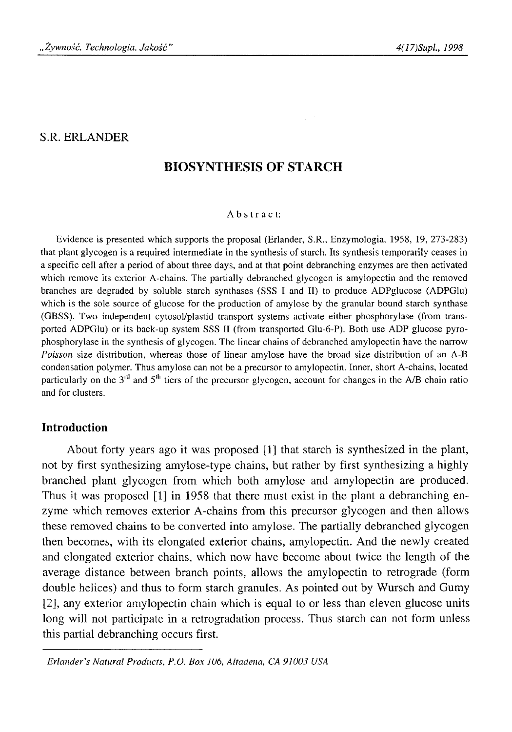## S.R. ERLANDER

# **BIOSYNTHESIS OF STARCH**

#### Abstract:

Evidence is presented which supports the proposal (Erlander, S.R., Enzymologia, 1958, 19, 273-283) that plant glycogen is a required intermediate in the synthesis of starch. Its synthesis temporarily ceases in a specific cell after a period of about three days, and at that point debranching enzymes are then activated which remove its exterior A-chains. The partially debranched glycogen is amylopectin and the removed branches are degraded by soluble starch synthases (SSS I and II) to produce ADPglucose (ADPGlu) which is the sole source of glucose for the production of amylose by the granular bound starch synthase (GBSS). Two independent cytosol/plastid transport systems activate either phosphorylase (from transported ADPGlu) or its back-up system SSS II (from transported Glu-6-Р). Both use ADP glucose pyrophosphorylase in the synthesis of glycogen. The linear chains of debranched amylopectin have the narrow *Poisson* size distribution, whereas those of linear amylose have the broad size distribution of an A-B condensation polymer. Thus amylose can not be a precursor to amylopectin. Inner, short A-chains, located particularly on the  $3<sup>rd</sup>$  and  $5<sup>th</sup>$  tiers of the precursor glycogen, account for changes in the A/B chain ratio and for clusters.

## **Introduction**

About forty years ago it was proposed [1] that starch is synthesized in the plant, not by first synthesizing amylose-type chains, but rather by first synthesizing a highly branched plant glycogen from which both amylose and amylopectin are produced. Thus it was proposed [1] in 1958 that there must exist in the plant a debranching enzyme which removes exterior A-chains from this precursor glycogen and then allows these removed chains to be converted into amylose. The partially debranched glycogen then becomes, with its elongated exterior chains, amylopectin. And the newly created and elongated exterior chains, which now have become about twice the length of the average distance between branch points, allows the amylopectin to retrograde (form double helices) and thus to form starch granules. As pointed out by Wursch and Gumy [2], any exterior amylopectin chain which is equal to or less than eleven glucose units long will not participate in a retrogradation process. Thus starch can not form unless this partial debranching occurs first.

*Erlander's Natural Products, P.O. Box Wb, Altadena, CA 91003 USA*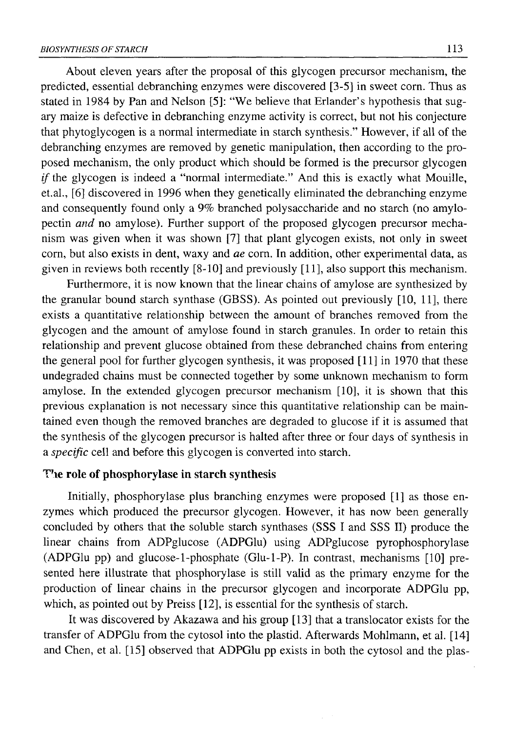About eleven years after the proposal of this glycogen precursor mechanism, the predicted, essential debranching enzymes were discovered [3-5] in sweet corn. Thus as stated in 1984 by Pan and Nelson [5]: "We believe that Erlander's hypothesis that sugary maize is defective in debranching enzyme activity is correct, but not his conjecture that phytoglycogen is a normal intermediate in starch synthesis." However, if all of the debranching enzymes are removed by genetic manipulation, then according to the proposed mechanism, the only product which should be formed is the precursor glycogen *if* the glycogen is indeed a "normal intermediate." And this is exactly what Mouille, et.al., [6] discovered in 1996 when they genetically eliminated the debranching enzyme and consequently found only a 9% branched polysaccharide and no starch (no amylopectin *and* no amylose). Further support of the proposed glycogen precursor mechanism was given when it was shown [7] that plant glycogen exists, not only in sweet corn, but also exists in dent, waxy and *ae* corn. In addition, other experimental data, as given in reviews both recently [8-10] and previously [11], also support this mechanism.

Furthermore, it is now known that the linear chains of amylose are synthesized by the granular bound starch synthase (GBSS). As pointed out previously [10, 11], there exists a quantitative relationship between the amount of branches removed from the glycogen and the amount of amylose found in starch granules. In order to retain this relationship and prevent glucose obtained from these debranched chains from entering the general pool for further glycogen synthesis, it was proposed [11] in 1970 that these undegraded chains must be connected together by some unknown mechanism to form amylose. In the extended glycogen precursor mechanism [10], it is shown that this previous explanation is not necessary since this quantitative relationship can be maintained even though the removed branches are degraded to glucose if it is assumed that the synthesis of the glycogen precursor is halted after three or four days of synthesis in a *specific* cell and before this glycogen is converted into starch.

# **T'le role of phosphorylase in starch synthesis**

Initially, phosphorylase plus branching enzymes were proposed [1] as those enzymes which produced the precursor glycogen. However, it has now been generally concluded by others that the soluble starch synthases (SSS I and SSS II) produce the linear chains from ADPglucose (ADPGlu) using ADPglucose pyrophosphorylase (ADPGlu pp) and glucose-1-phosphate (Glu-l-P). In contrast, mechanisms [10] presented here illustrate that phosphorylase is still valid as the primary enzyme for the production of linear chains in the precursor glycogen and incorporate ADPGlu pp, which, as pointed out by Preiss [12], is essential for the synthesis of starch.

It was discovered by Akazawa and his group [13] that a translocator exists for the transfer of ADPGlu from the cytosol into the plastid. Afterwards Mohlmann, et al. [14] and Chen, et al. [15] observed that ADPGlu pp exists in both the cytosol and the plas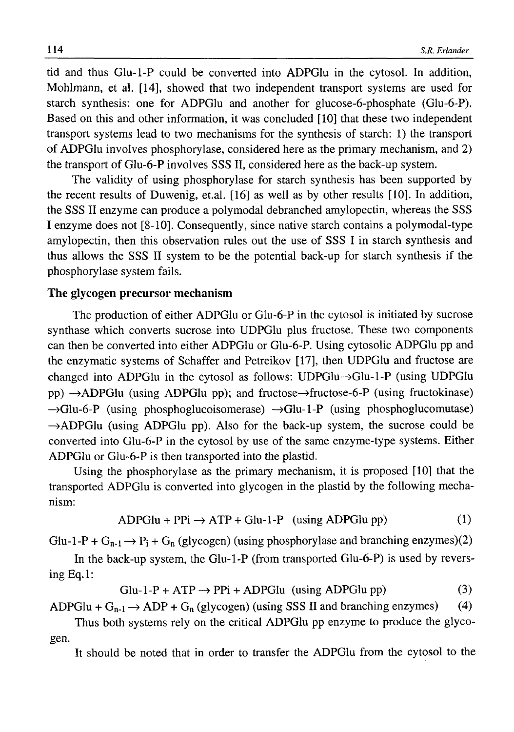tid and thus Glu-1-P could be converted into ADPGlu in the cytosol. In addition, Mohlmann, et al. [14], showed that two independent transport systems are used for starch synthesis: one for ADPGlu and another for glucose-6-phosphate (Glu-6-Р). Based on this and other information, it was concluded [10] that these two independent transport systems lead to two mechanisms for the synthesis of starch: 1) the transport of ADPGlu involves phosphorylase, considered here as the primary mechanism, and 2) the transport of Glu-6-Р involves SSS II, considered here as the back-up system.

The validity of using phosphorylase for starch synthesis has been supported by the recent results of Duwenig, et.al. [16] as well as by other results [10]. In addition, the SSS II enzyme can produce a polymodal debranched amylopectin, whereas the SSS I enzyme does not [8-10]. Consequently, since native starch contains a polymodal-type amylopectin, then this observation rules out the use of SSS I in starch synthesis and thus allows the SSS II system to be the potential back-up for starch synthesis if the phosphorylase system fails.

### **The glycogen precursor mechanism**

The production of either ADPGlu or Glu-6-Р in the cytosol is initiated by sucrose synthase which converts sucrose into UDPGlu plus fructose. These two components can then be converted into either ADPGlu or Glu-6-Р. Using cytosolic ADPGlu pp and the enzymatic systems of Schaffer and Petreikov [17], then UDPGlu and fructose are changed into ADPGlu in the cytosol as follows: UDPGlu—>Glu-l-P (using UDPGlu pp)  $\rightarrow$ ADPGlu (using ADPGlu pp); and fructose $\rightarrow$ fructose-6-P (using fructokinase)  $\rightarrow$ Glu-6-P (using phosphoglucoisomerase)  $\rightarrow$ Glu-1-P (using phosphoglucomutase)  $\rightarrow$  ADPGlu (using ADPGlu pp). Also for the back-up system, the sucrose could be converted into Glu-6-Р in the cytosol by use of the same enzyme-type systems. Either ADPGlu or Glu-6-Р is then transported into the plastid.

Using the phosphorylase as the primary mechanism, it is proposed [10] that the transported ADPGlu is converted into glycogen in the plastid by the following mechanism:

$$
ADPGlu + PPi \rightarrow ATP + Glu-1-P \quad (using ADPGlu\ pp)
$$
 (1)

Glu-1-P +  $G_{n-1} \rightarrow P_i + G_n$  (glycogen) (using phosphorylase and branching enzymes)(2)

In the back-up system, the Glu-l-P (from transported Glu-6-Р) is used by reversing Eq.l:

 $Glu-1-P + ATP \rightarrow PPi + ADPGlu$  (using ADPGlu pp) (3)

ADPGlu +  $G_{n-1} \rightarrow$  ADP +  $G_n$  (glycogen) (using SSS II and branching enzymes) (4)

Thus both systems rely on the critical ADPGlu pp enzyme to produce the glycogen.

It should be noted that in order to transfer the ADPGlu from the cytosol to the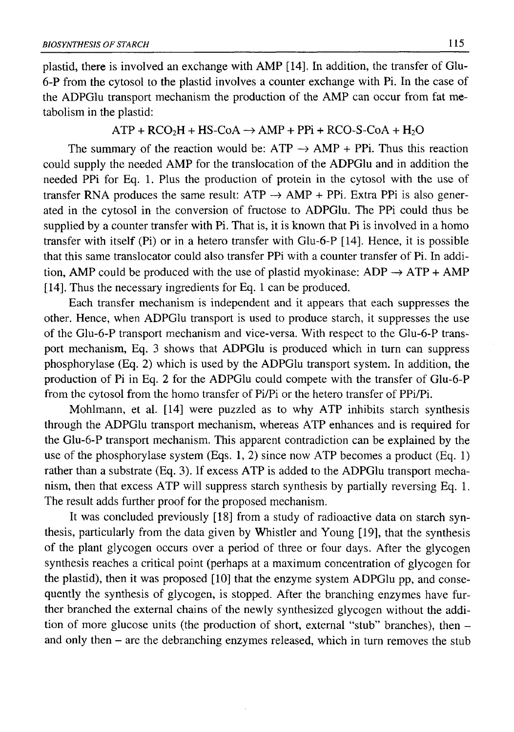plastid, there is involved an exchange with AMP [14]. In addition, the transfer of Glu-6-P from the cytosol to the plastid involves a counter exchange with Pi. In the case of the ADPGlu transport mechanism the production of the AMP can occur from fat metabolism in the plastid:

#### $ATP + RCO<sub>2</sub>H + HS-CoA \rightarrow AMP + PPi + RCO-S-CoA + H<sub>2</sub>O$

The summary of the reaction would be:  $ATP \rightarrow AMP + PPi$ . Thus this reaction could supply the needed AMP for the translocation of the ADPGlu and in addition the needed PPi for Eq. 1. Plus the production of protein in the cytosol with the use of transfer RNA produces the same result:  $ATP \rightarrow AMP + PPi$ . Extra PPi is also generated in the cytosol in the conversion of fructose to ADPGlu. The PPi could thus be supplied by a counter transfer with Pi. That is, it is known that Pi is involved in a homo transfer with itself (Pi) or in a hetero transfer with Glu-6-Р [14]. Hence, it is possible that this same translocator could also transfer PPi with a counter transfer of Pi. In addition, AMP could be produced with the use of plastid myokinase:  $ADP \rightarrow ATP + AMP$ [14]. Thus the necessary ingredients for Eq. 1 can be produced.

Each transfer mechanism is independent and it appears that each suppresses the other. Hence, when ADPGlu transport is used to produce starch, it suppresses the use of the Glu-6-Р transport mechanism and vice-versa. With respect to the Glu-6-Р transport mechanism, Eq. 3 shows that ADPGlu is produced which in turn can suppress phosphorylase (Eq. 2) which is used by the ADPGlu transport system. In addition, the production of Pi in Eq. 2 for the ADPGlu could compete with the transfer of Glu-6-Р from the cytosol from the homo transfer of Pi/Pi or the hetero transfer of PPi/Pi.

Mohlmann, et al. [14] were puzzled as to why ATP inhibits starch synthesis through the ADPGlu transport mechanism, whereas ATP enhances and is required for the Glu-6-Р transport mechanism. This apparent contradiction can be explained by the use of the phosphorylase system (Eqs. 1, 2) since now ATP becomes a product (Eq. 1) rather than a substrate (Eq. 3). If excess ATP is added to the ADPGlu transport mechanism, then that excess ATP will suppress starch synthesis by partially reversing Eq. 1. The result adds further proof for the proposed mechanism.

It was concluded previously [18] from a study of radioactive data on starch synthesis, particularly from the data given by Whistler and Young [19], that the synthesis of the plant glycogen occurs over a period of three or four days. After the glycogen synthesis reaches a critical point (perhaps at a maximum concentration of glycogen for the plastid), then it was proposed [10] that the enzyme system ADPGlu pp, and consequently the synthesis of glycogen, is stopped. After the branching enzymes have further branched the external chains of the newly synthesized glycogen without the addition of more glucose units (the production of short, external "stub" branches), then and only then - are the debranching enzymes released, which in turn removes the stub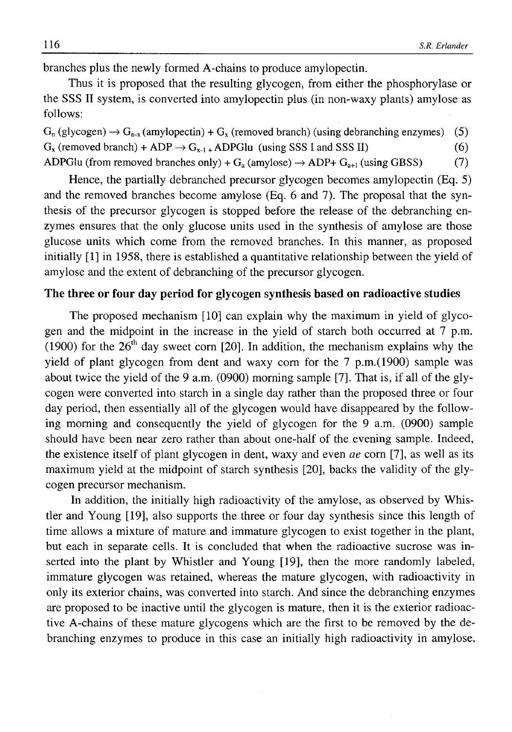branches plus the newly formed A-chains to produce amylopectin.

Thus it is proposed that the resulting glycogen, from either the phosphorylase or the SSS II system, is converted into amylopectin plus (in non-waxy plants) amylose as follows:

 $G_n$  (glycogen)  $\rightarrow$   $G_{n-x}$  (amylopectin) +  $G_x$  (removed branch) (using debranching enzymes) (5)  $G_x$  (removed branch) + ADP  $\rightarrow G_{x-1}$  + ADPGlu (using SSS I and SSS II) (6) ADPGlu (from removed branches only) +  $G_a$  (amylose)  $\rightarrow$  ADP+  $G_{a+1}$  (using GBSS) (7)

Hence, the partially debranched precursor glycogen becomes amylopectin (Eq. 5) and the removed branches become amylose (Eq. 6 and 7). The proposal that the synthesis of the precursor glycogen is stopped before the release of the debranching enzymes ensures that the only glucose units used in the synthesis of amylose are those glucose units which come from the removed branches. In this manner, as proposed initially [1] in 1958, there is established a quantitative relationship between the yield of amylose and the extent of debranching of the precursor glycogen.

## **The three or four day period for glycogen synthesis based on radioactive studies**

The proposed mechanism [10] can explain why the maximum in yield of glycogen and the midpoint in the increase in the yield of starch both occurred at 7 p.m. (1900) for the  $26<sup>th</sup>$  day sweet corn [20]. In addition, the mechanism explains why the yield of plant glycogen from dent and waxy corn for the 7 p.m.(1900) sample was about twice the yield of the 9 a.m. (0900) morning sample [7]. That is, if all of the glycogen were converted into starch in a single day rather than the proposed three or four day period, then essentially all of the glycogen would have disappeared by the following morning and consequently the yield of glycogen for the 9 a.m. (0900) sample should have been near zero rather than about one-half of the evening sample. Indeed, the existence itself of plant glycogen in dent, waxy and even *ae* corn [7], as well as its maximum yield at the midpoint of starch synthesis [20], backs the validity of the glycogen precursor mechanism.

In addition, the initially high radioactivity of the amylose, as observed by Whistler and Young [19], also supports the three or four day synthesis since this length of time allows a mixture of mature and immature glycogen to exist together in the plant, but each in separate cells. It is concluded that when the radioactive sucrose was inserted into the plant by Whistler and Young [19], then the more randomly labeled, immature glycogen was retained, whereas the mature glycogen, with radioactivity in only its exterior chains, was converted into starch. And since the debranching enzymes are proposed to be inactive until the glycogen is mature, then it is the exterior radioactive A-chains of these mature glycogens which are the first to be removed by the debranching enzymes to produce in this case an initially high radioactivity in amylose.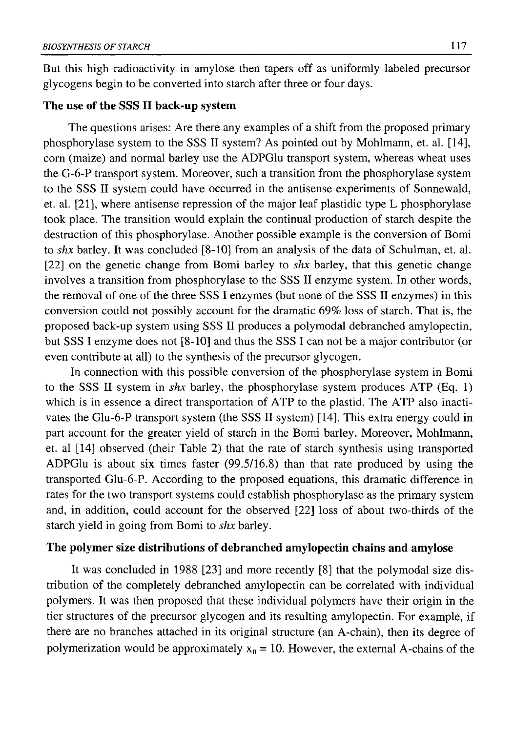But this high radioactivity in amylose then tapers off as uniformly labeled precursor glycogens begin to be converted into starch after three or four days.

## **The use of the** SSS **II back-up system**

The questions arises: Are there any examples of a shift from the proposed primary phosphorylase system to the SSS II system? As pointed out by Mohlmann, et. al. [14], corn (maize) and normal barley use the ADPGlu transport system, whereas wheat uses the G-6-P transport system. Moreover, such a transition from the phosphorylase system to the SSS II system could have occurred in the antisense experiments of Sonnewald, et. al. [21], where antisense repression of the major leaf plastidic type L phosphorylase took place. The transition would explain the continual production of starch despite the destruction of this phosphorylase. Another possible example is the conversion of Bomi to *shx* barley. It was concluded [8-10] from an analysis of the data of Schulman, et. al. [22] on the genetic change from Bomi barley to *shx* barley, that this genetic change involves a transition from phosphorylase to the SSS II enzyme system. In other words, the removal of one of the three SSS I enzymes (but none of the SSS II enzymes) in this conversion could not possibly account for the dramatic 69% loss of starch. That is, the proposed back-up system using SSS II produces a polymodál debranched amylopectin, but SSS I enzyme does not [8-10] and thus the SSS I can not be a major contributor (or even contribute at all) to the synthesis of the precursor glycogen.

In connection with this possible conversion of the phosphorylase system in Bomi to the SSS II system in *shx* barley, the phosphorylase system produces ATP (Eq. 1) which is in essence a direct transportation of ATP to the plastid. The ATP also inactivates the Glu-6-Р transport system (the SSS II system) [14]. This extra energy could in part account for the greater yield of starch in the Bomi barley. Moreover, Mohlmann, et. al [14] observed (their Table 2) that the rate of starch synthesis using transported ADPGlu is about six times faster (99.5/16.8) than that rate produced by using the transported Glu-6-Р. According to the proposed equations, this dramatic difference in rates for the two transport systems could establish phosphorylase as the primary system and, in addition, could account for the observed [22] loss of about two-thirds of the starch yield in going from Bomi to *shx* barley.

## **The polymer size distributions of debranched amylopectin chains and amylose**

It was concluded in 1988 [23] and more recently [8] that the polymodal size distribution of the completely debranched amylopectin can be correlated with individual polymers. It was then proposed that these individual polymers have their origin in the tier structures of the precursor glycogen and its resulting amylopectin. For example, if there are no branches attached in its original structure (an A-chain), then its degree of polymerization would be approximately  $x_n = 10$ . However, the external A-chains of the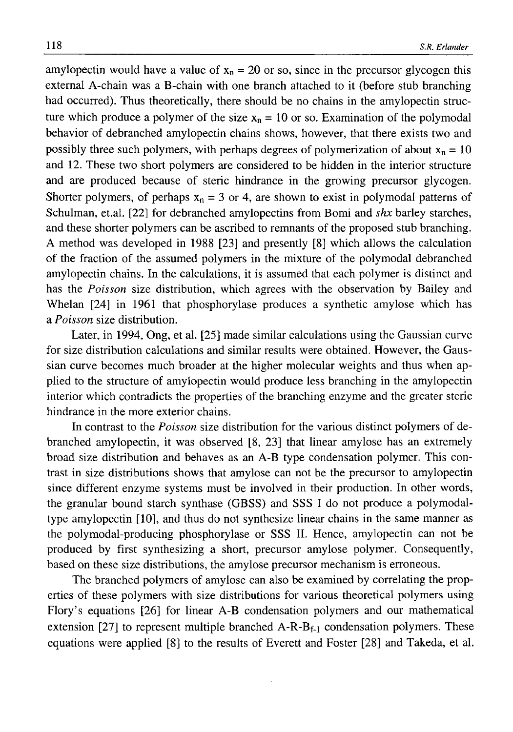amylopectin would have a value of  $x_n = 20$  or so, since in the precursor glycogen this external A-chain was a B-chain with one branch attached to it (before stub branching had occurred). Thus theoretically, there should be no chains in the amylopectin structure which produce a polymer of the size  $x_n = 10$  or so. Examination of the polymodal behavior of debranched amylopectin chains shows, however, that there exists two and possibly three such polymers, with perhaps degrees of polymerization of about  $x_n = 10$ and 12. These two short polymers are considered to be hidden in the interior structure and are produced because of steric hindrance in the growing precursor glycogen. Shorter polymers, of perhaps  $x_n = 3$  or 4, are shown to exist in polymodal patterns of Schulman, et.al. [22] for debranched amylopectins from Bomi and *shx* barley starches, and these shorter polymers can be ascribed to remnants of the proposed stub branching. A method was developed in 1988 [23] and presently [8] which allows the calculation of the fraction of the assumed polymers in the mixture of the polymodal debranched amylopectin chains. In the calculations, it is assumed that each polymer is distinct and has the *Poisson* size distribution, which agrees with the observation by Bailey and Whelan [24] in 1961 that phosphorylase produces a synthetic amylose which has a *Poisson* size distribution.

Later, in 1994, Ong, et al. [25] made similar calculations using the Gaussian curve for size distribution calculations and similar results were obtained. However, the Gaussian curve becomes much broader at the higher molecular weights and thus when applied to the structure of amylopectin would produce less branching in the amylopectin interior which contradicts the properties of the branching enzyme and the greater steric hindrance in the more exterior chains.

In contrast to the *Poisson* size distribution for the various distinct polymers of debranched amylopectin, it was observed [8, 23] that linear amylose has an extremely broad size distribution and behaves as an A-B type condensation polymer. This contrast in size distributions shows that amylose can not be the precursor to amylopectin since different enzyme systems must be involved in their production. In other words, the granular bound starch synthase (GBSS) and SSS I do not produce a polymodaltype amylopectin [10], and thus do not synthesize linear chains in the same manner as the polymodal-producing phosphorylase or SSS II. Hence, amylopectin can not be produced by first synthesizing a short, precursor amylose polymer. Consequently, based on these size distributions, the amylose precursor mechanism is erroneous.

The branched polymers of amylose can also be examined by correlating the properties of these polymers with size distributions for various theoretical polymers using Flory's equations [26] for linear A-B condensation polymers and our mathematical extension [27] to represent multiple branched  $A-R-B_{f-1}$  condensation polymers. These equations were applied [8] to the results of Everett and Foster [28] and Takeda, et al.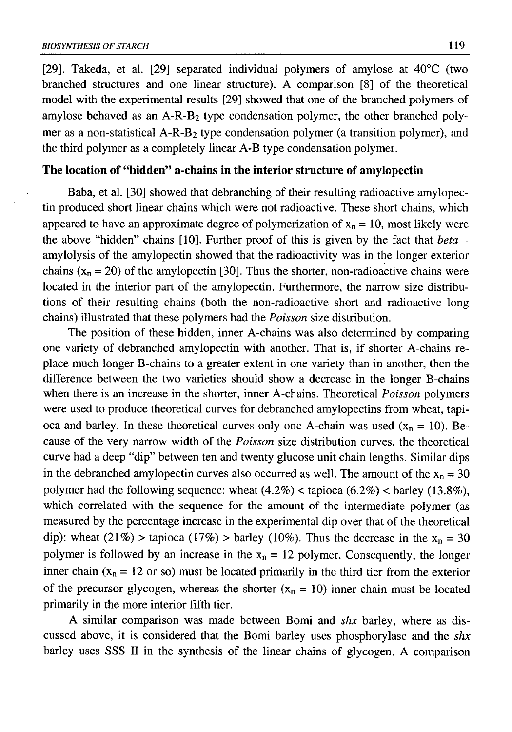[29]. Takeda, et al. [29] separated individual polymers of amylose at 40°C (two branched structures and one linear structure). A comparison [8] of the theoretical model with the experimental results [29] showed that one of the branched polymers of amylose behaved as an A-R-B2 type condensation polymer, the other branched polymer as a non-statistical A-R-B2 type condensation polymer (a transition polymer), and the third polymer as a completely linear A-B type condensation polymer.

## **The location of "hidden" a-chains in the interior structure of amylopectin**

Baba, et al. [30] showed that debranching of their resulting radioactive amylopectin produced short linear chains which were not radioactive. These short chains, which appeared to have an approximate degree of polymerization of  $x_n = 10$ , most likely were the above "hidden" chains [10]. Further proof of this is given by the fact that *beta*  amylolysis of the amylopectin showed that the radioactivity was in the longer exterior chains  $(x_n = 20)$  of the amylopectin [30]. Thus the shorter, non-radioactive chains were located in the interior part of the amylopectin. Furthermore, the narrow size distributions of their resulting chains (both the non-radioactive short and radioactive long chains) illustrated that these polymers had the *Poisson* size distribution.

The position of these hidden, inner A-chains was also determined by comparing one variety of debranched amylopectin with another. That is, if shorter A-chains replace much longer B-chains to a greater extent in one variety than in another, then the difference between the two varieties should show a decrease in the longer B-chains when there is an increase in the shorter, inner A-chains. Theoretical *Poisson* polymers were used to produce theoretical curves for debranched amylopectins from wheat, tapioca and barley. In these theoretical curves only one A-chain was used  $(x_n = 10)$ . Because of the very narrow width of the *Poisson* size distribution curves, the theoretical curve had a deep "dip" between ten and twenty glucose unit chain lengths. Similar dips in the debranched amylopectin curves also occurred as well. The amount of the  $x_n = 30$ polymer had the following sequence: wheat  $(4.2\%) <$  tapioca  $(6.2\%) <$  barley  $(13.8\%)$ , which correlated with the sequence for the amount of the intermediate polymer (as measured by the percentage increase in the experimental dip over that of the theoretical dip): wheat (21%) > tapioca (17%) > barley (10%). Thus the decrease in the  $x_n = 30$ polymer is followed by an increase in the  $x_n = 12$  polymer. Consequently, the longer inner chain ( $x_n = 12$  or so) must be located primarily in the third tier from the exterior of the precursor glycogen, whereas the shorter  $(x_n = 10)$  inner chain must be located primarily in the more interior fifth tier.

A similar comparison was made between Bomi and *shx* barley, where as discussed above, it is considered that the Bomi barley uses phosphorylase and the *shx* barley uses SSS II in the synthesis of the linear chains of glycogen. A comparison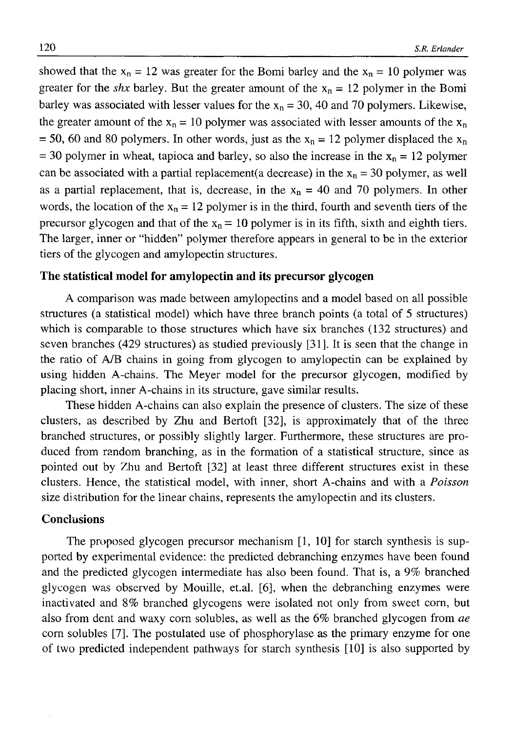showed that the  $x_n = 12$  was greater for the Bomi barley and the  $x_n = 10$  polymer was greater for the *shx* barley. But the greater amount of the  $x_n = 12$  polymer in the Bomi barley was associated with lesser values for the  $x_n = 30$ , 40 and 70 polymers. Likewise, the greater amount of the  $x_n = 10$  polymer was associated with lesser amounts of the  $x_n$ = 50, 60 and 80 polymers. In other words, just as the  $x_n = 12$  polymer displaced the  $x_n$ = 30 polymer in wheat, tapioca and barley, so also the increase in the  $x_n = 12$  polymer can be associated with a partial replacement(a decrease) in the  $x_n = 30$  polymer, as well as a partial replacement, that is, decrease, in the  $x_n = 40$  and 70 polymers. In other words, the location of the  $x_n = 12$  polymer is in the third, fourth and seventh tiers of the precursor glycogen and that of the  $x_n = 10$  polymer is in its fifth, sixth and eighth tiers. The larger, inner or "hidden" polymer therefore appears in general to be in the exterior tiers of the glycogen and amylopectin structures.

## **The statistical model for amylopectin and its precursor glycogen**

A comparison was made between amylopectins and a model based on all possible structures (a statistical model) which have three branch points (a total of 5 structures) which is comparable to those structures which have six branches (132 structures) and seven branches (429 structures) as studied previously [31]. It is seen that the change in the ratio of A/B chains in going from glycogen to amylopectin can be explained by using hidden A-chains. The Meyer model for the precursor glycogen, modified by placing short, inner A-chains in its structure, gave similar results.

These hidden A-chains can also explain the presence of clusters. The size of these clusters, as described by Zhu and Bertoft [32], is approximately that of the three branched structures, or possibly slightly larger. Furthermore, these structures are produced from random branching, as in the formation of a statistical structure, since as pointed out by Zhu and Bertoft [32] at least three different structures exist in these clusters. Hence, the statistical model, with inner, short A-chains and with a *Poisson* size distribution for the linear chains, represents the amylopectin and its clusters.

## **Conclusions**

The proposed glycogen precursor mechanism [1, 10] for starch synthesis is supported by experimental evidence: the predicted debranching enzymes have been found and the predicted glycogen intermediate has also been found. That is, a 9% branched glycogen was observed by Mouille, et.al. [6], when the debranching enzymes were inactivated and 8% branched glycogens were isolated not only from sweet corn, but also from dent and waxy corn solubles, as well as the 6% branched glycogen from *ae* corn solubles [7]. The postulated use of phosphorylase as the primary enzyme for one of two predicted independent pathways for starch synthesis [10] is also supported by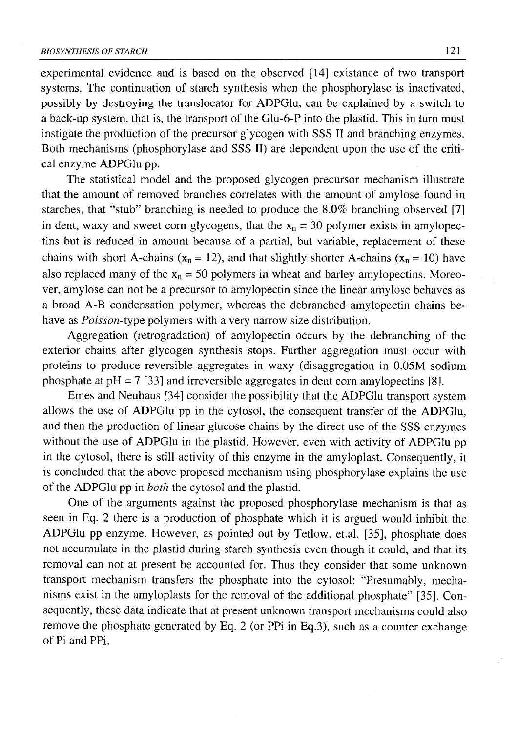experimental evidence and is based on the observed [14] existance of two transport systems. The continuation of starch synthesis when the phosphorylase is inactivated, possibly by destroying the translocator for ADPGlu, can be explained by a switch to a back-up system, that is, the transport of the Glu-6-Р into the plastid. This in turn must instigate the production of the precursor glycogen with SSS II and branching enzymes. Both mechanisms (phosphorylase and SSS II) are dependent upon the use of the critical enzyme ADPGlu pp.

The statistical model and the proposed glycogen precursor mechanism illustrate that the amount of removed branches correlates with the amount of amylose found in starches, that "stub" branching is needed to produce the 8.0% branching observed [7] in dent, waxy and sweet corn glycogens, that the  $x_n = 30$  polymer exists in amylopectins but is reduced in amount because of a partial, but variable, replacement of these chains with short A-chains ( $x_n = 12$ ), and that slightly shorter A-chains ( $x_n = 10$ ) have also replaced many of the  $x_n = 50$  polymers in wheat and barley amylopectins. Moreover, amylose can not be a precursor to amylopectin since the linear amylose behaves as a broad A-B condensation polymer, whereas the debranched amylopectin chains behave as *Poisson*-type polymers with a very narrow size distribution.

Aggregation (retrogradation) of amylopectin occurs by the debranching of the exterior chains after glycogen synthesis stops. Further aggregation must occur with proteins to produce reversible aggregates in waxy (disaggregation in 0.05M sodium phosphate at  $pH = 7$  [33] and irreversible aggregates in dent corn amylopectins [8].

Emes and Neuhaus [34] consider the possibility that the ADPGlu transport system allows the use of ADPGlu pp in the cytosol, the consequent transfer of the ADPGlu, and then the production of linear glucose chains by the direct use of the SSS enzymes without the use of ADPGlu in the plastid. However, even with activity of ADPGlu pp in the cytosol, there is still activity of this enzyme in the amyloplast. Consequently, it is concluded that the above proposed mechanism using phosphorylase explains the use of the ADPGlu pp in *both* the cytosol and the plastid.

One of the arguments against the proposed phosphorylase mechanism is that as seen in Eq. 2 there is a production of phosphate which it is argued would inhibit the ADPGlu pp enzyme. However, as pointed out by Tetlow, et.al. [35], phosphate does not accumulate in the plastid during starch synthesis even though it could, and that its removal can not at present be accounted for. Thus they consider that some unknown transport mechanism transfers the phosphate into the cytosol: "Presumably, mechanisms exist in the amyloplasts for the removal of the additional phosphate" [35]. Consequently, these data indicate that at present unknown transport mechanisms could also remove the phosphate generated by Eq. 2 (or PPi in Eq.3), such as a counter exchange of Pi and PPi.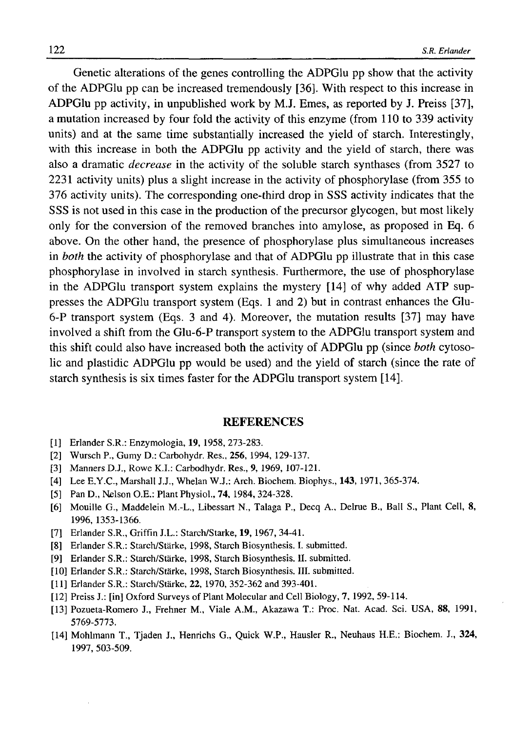Genetic alterations of the genes controlling the ADPGlu pp show that the activity of the ADPGlu pp can be increased tremendously [36]. With respect to this increase in ADPGlu pp activity, in unpublished work by M.J. Ernes, as reported by J. Preiss [37], a mutation increased by four fold the activity of this enzyme (from 110 to 339 activity units) and at the same time substantially increased the yield of starch. Interestingly, with this increase in both the ADPGlu pp activity and the yield of starch, there was also a dramatic *decrease* in the activity of the soluble starch synthases (from 3527 to 2231 activity units) plus a slight increase in the activity of phosphorylase (from 355 to 376 activity units). The corresponding one-third drop in SSS activity indicates that the SSS is not used in this case in the production of the precursor glycogen, but most likely only for the conversion of the removed branches into amylose, as proposed in Eq. 6 above. On the other hand, the presence of phosphorylase plus simultaneous increases in *both* the activity of phosphorylase and that of ADPGlu pp illustrate that in this case phosphorylase in involved in starch synthesis. Furthermore, the use of phosphorylase in the ADPGlu transport system explains the mystery [14] of why added ATP suppresses the ADPGlu transport system (Eqs. 1 and 2) but in contrast enhances the Glu-6-P transport system (Eqs. 3 and 4). Moreover, the mutation results [37] may have involved a shift from the Glu-6-Р transport system to the ADPGlu transport system and this shift could also have increased both the activity of ADPGlu pp (since *both* cytosolic and plastidic ADPGlu pp would be used) and the yield of starch (since the rate of starch synthesis is six times faster for the ADPGlu transport system [14].

#### **REFERENCES**

- [1] Erlander S.R.: Enzymologia, **19,** 1958, 273-283.
- [2] Wursch P., Gumy D.: Carbohydr. Res., **256,** 1994, 129-137.
- [3] Manners D.J., Rowe K.I.: Carbodhydr. Res., **9,** 1969, 107-121.
- [4] Lee E.Y.C., Marshall J.J., Whelan W.J.: Arch. Biochem. Biophys., **143,** 1971, 365-374.
- [5] Pan D., Nelson O.E.: Plant Physiol., **74**, 1984, 324-328.
- [6] Mouille G., Maddelein M.-L., Libessart N., Talaga P., Decq A., Delrue B., Ball S., Plant Cell, **8,** 1996, 1353-1366.
- [7] Erlander S.R., Griffin J.L.: Starch/Starke, **19,** 1967, 34-41.
- [8] Erlander S.R.: Starch/Stärke, 1998, Starch Biosynthesis. I. submitted.
- [9] Erlander S.R.: Starch/Stärke, 1998, Starch Biosynthesis. II. submitted.
- [10] Erlander S.R.: Starch/Stärke, 1998, Starch Biosynthesis. III. submitted.
- [11] Erlander S.R.: Starch/Stärke, **22,** 1970, 352-362 and 393-401.
- [12] Preiss J.: [in] Oxford Surveys of Plant Molecular and Cell Biology, 7, 1992, 59-114.
- [13] Pozueta-Romero J., Frehner M., Viale A.M., Akazawa T.: Proc. Nat. Acad. Sci. USA, **88,** 1991, 5769-5773.
- [14] Mohlmann T., Tjaden J., Henrichs G., Quick W.P., Hausler R., Neuhaus H.E.: Biochem. J., **324,** 1997, 503-509.